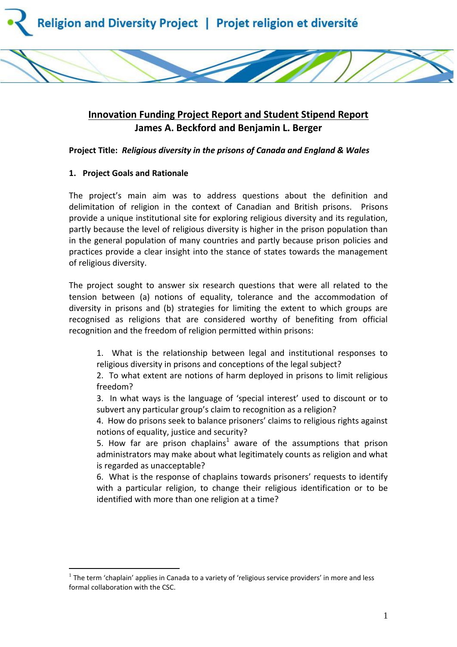

# **Innovation Funding Project Report and Student Stipend Report James A. Beckford and Benjamin L. Berger**

**Project Title:** *Religious diversity in the prisons of Canada and England & Wales*

# **1. Project Goals and Rationale**

 $\overline{a}$ 

The project's main aim was to address questions about the definition and delimitation of religion in the context of Canadian and British prisons. Prisons provide a unique institutional site for exploring religious diversity and its regulation, partly because the level of religious diversity is higher in the prison population than in the general population of many countries and partly because prison policies and practices provide a clear insight into the stance of states towards the management of religious diversity.

The project sought to answer six research questions that were all related to the tension between (a) notions of equality, tolerance and the accommodation of diversity in prisons and (b) strategies for limiting the extent to which groups are recognised as religions that are considered worthy of benefiting from official recognition and the freedom of religion permitted within prisons:

1. What is the relationship between legal and institutional responses to religious diversity in prisons and conceptions of the legal subject?

2. To what extent are notions of harm deployed in prisons to limit religious freedom?

3. In what ways is the language of 'special interest' used to discount or to subvert any particular group's claim to recognition as a religion?

4. How do prisons seek to balance prisoners' claims to religious rights against notions of equality, justice and security?

5. How far are prison chaplains<sup>1</sup> aware of the assumptions that prison administrators may make about what legitimately counts as religion and what is regarded as unacceptable?

6. What is the response of chaplains towards prisoners' requests to identify with a particular religion, to change their religious identification or to be identified with more than one religion at a time?

 $<sup>1</sup>$  The term 'chaplain' applies in Canada to a variety of 'religious service providers' in more and less</sup> formal collaboration with the CSC.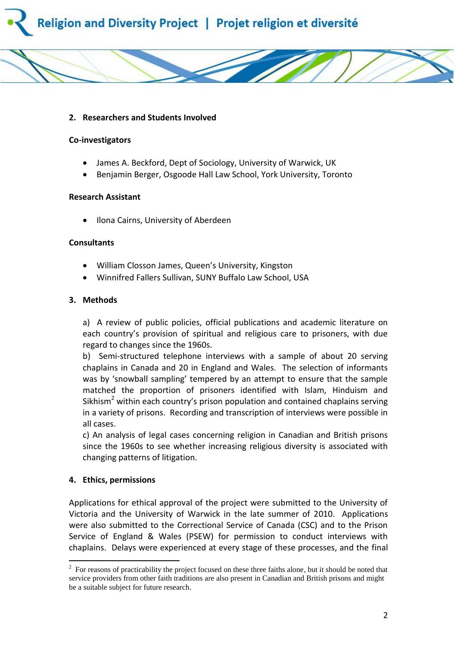



### **2. Researchers and Students Involved**

#### **Co-investigators**

- James A. Beckford, Dept of Sociology, University of Warwick, UK
- Benjamin Berger, Osgoode Hall Law School, York University, Toronto

#### **Research Assistant**

Ilona Cairns, University of Aberdeen

#### **Consultants**

- William Closson James, Queen's University, Kingston
- Winnifred Fallers Sullivan, SUNY Buffalo Law School, USA

#### **3. Methods**

a) A review of public policies, official publications and academic literature on each country's provision of spiritual and religious care to prisoners, with due regard to changes since the 1960s.

b) Semi-structured telephone interviews with a sample of about 20 serving chaplains in Canada and 20 in England and Wales. The selection of informants was by 'snowball sampling' tempered by an attempt to ensure that the sample matched the proportion of prisoners identified with Islam, Hinduism and Sikhism<sup>2</sup> within each country's prison population and contained chaplains serving in a variety of prisons. Recording and transcription of interviews were possible in all cases.

c) An analysis of legal cases concerning religion in Canadian and British prisons since the 1960s to see whether increasing religious diversity is associated with changing patterns of litigation.

#### **4. Ethics, permissions**

 $\overline{a}$ 

Applications for ethical approval of the project were submitted to the University of Victoria and the University of Warwick in the late summer of 2010. Applications were also submitted to the Correctional Service of Canada (CSC) and to the Prison Service of England & Wales (PSEW) for permission to conduct interviews with chaplains. Delays were experienced at every stage of these processes, and the final

 $2^2$  For reasons of practicability the project focused on these three faiths alone, but it should be noted that service providers from other faith traditions are also present in Canadian and British prisons and might be a suitable subject for future research.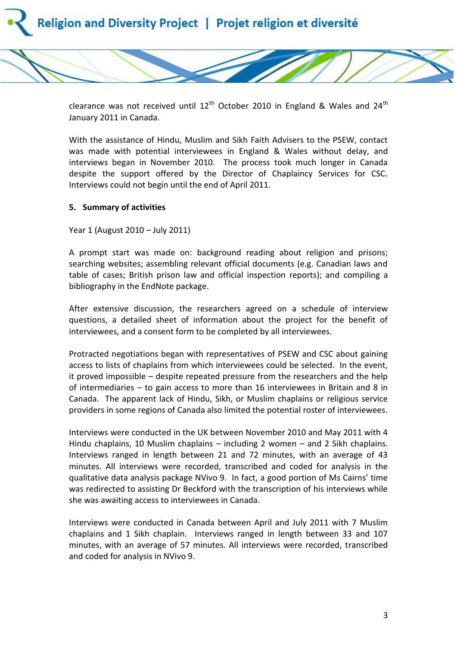

clearance was not received until  $12<sup>th</sup>$  October 2010 in England & Wales and 24<sup>th</sup> January 2011 in Canada.

With the assistance of Hindu, Muslim and Sikh Faith Advisers to the PSEW, contact was made with potential interviewees in England & Wales without delay, and interviews began in November 2010. The process took much longer in Canada despite the support offered by the Director of Chaplaincy Services for CSC. Interviews could not begin until the end of April 2011.

# **5. Summary of activities**

Year 1 (August 2010 – July 2011)

A prompt start was made on: background reading about religion and prisons; searching websites; assembling relevant official documents (e.g. Canadian laws and table of cases; British prison law and official inspection reports); and compiling a bibliography in the EndNote package.

After extensive discussion, the researchers agreed on a schedule of interview questions, a detailed sheet of information about the project for the benefit of interviewees, and a consent form to be completed by all interviewees.

Protracted negotiations began with representatives of PSEW and CSC about gaining access to lists of chaplains from which interviewees could be selected. In the event, it proved impossible – despite repeated pressure from the researchers and the help of intermediaries – to gain access to more than 16 interviewees in Britain and 8 in Canada. The apparent lack of Hindu, Sikh, or Muslim chaplains or religious service providers in some regions of Canada also limited the potential roster of interviewees.

Interviews were conducted in the UK between November 2010 and May 2011 with 4 Hindu chaplains, 10 Muslim chaplains – including 2 women – and 2 Sikh chaplains. Interviews ranged in length between 21 and 72 minutes, with an average of 43 minutes. All interviews were recorded, transcribed and coded for analysis in the qualitative data analysis package NVivo 9. In fact, a good portion of Ms Cairns' time was redirected to assisting Dr Beckford with the transcription of his interviews while she was awaiting access to interviewees in Canada.

Interviews were conducted in Canada between April and July 2011 with 7 Muslim chaplains and 1 Sikh chaplain. Interviews ranged in length between 33 and 107 minutes, with an average of 57 minutes. All interviews were recorded, transcribed and coded for analysis in NVivo 9.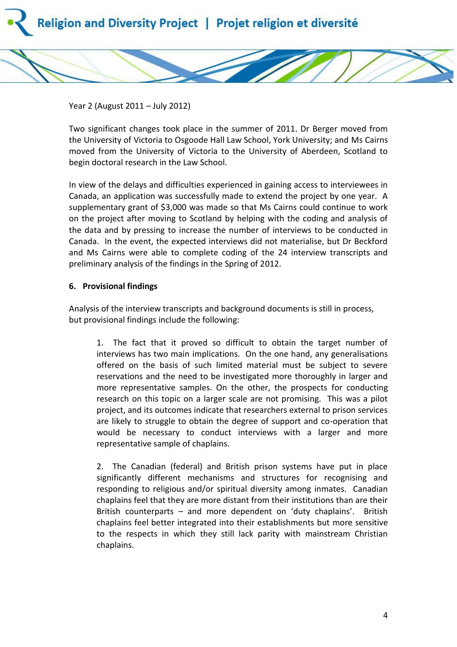

Year 2 (August 2011 – July 2012)

Two significant changes took place in the summer of 2011. Dr Berger moved from the University of Victoria to Osgoode Hall Law School, York University; and Ms Cairns moved from the University of Victoria to the University of Aberdeen, Scotland to begin doctoral research in the Law School.

In view of the delays and difficulties experienced in gaining access to interviewees in Canada, an application was successfully made to extend the project by one year. A supplementary grant of \$3,000 was made so that Ms Cairns could continue to work on the project after moving to Scotland by helping with the coding and analysis of the data and by pressing to increase the number of interviews to be conducted in Canada. In the event, the expected interviews did not materialise, but Dr Beckford and Ms Cairns were able to complete coding of the 24 interview transcripts and preliminary analysis of the findings in the Spring of 2012.

#### **6. Provisional findings**

Analysis of the interview transcripts and background documents is still in process, but provisional findings include the following:

1. The fact that it proved so difficult to obtain the target number of interviews has two main implications. On the one hand, any generalisations offered on the basis of such limited material must be subject to severe reservations and the need to be investigated more thoroughly in larger and more representative samples. On the other, the prospects for conducting research on this topic on a larger scale are not promising. This was a pilot project, and its outcomes indicate that researchers external to prison services are likely to struggle to obtain the degree of support and co-operation that would be necessary to conduct interviews with a larger and more representative sample of chaplains.

2. The Canadian (federal) and British prison systems have put in place significantly different mechanisms and structures for recognising and responding to religious and/or spiritual diversity among inmates. Canadian chaplains feel that they are more distant from their institutions than are their British counterparts – and more dependent on 'duty chaplains'. British chaplains feel better integrated into their establishments but more sensitive to the respects in which they still lack parity with mainstream Christian chaplains.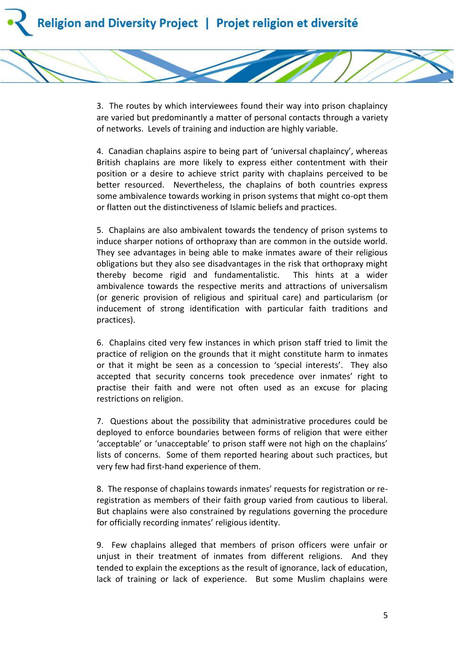3. The routes by which interviewees found their way into prison chaplaincy are varied but predominantly a matter of personal contacts through a variety of networks. Levels of training and induction are highly variable.

4. Canadian chaplains aspire to being part of 'universal chaplaincy', whereas British chaplains are more likely to express either contentment with their position or a desire to achieve strict parity with chaplains perceived to be better resourced. Nevertheless, the chaplains of both countries express some ambivalence towards working in prison systems that might co-opt them or flatten out the distinctiveness of Islamic beliefs and practices.

5. Chaplains are also ambivalent towards the tendency of prison systems to induce sharper notions of orthopraxy than are common in the outside world. They see advantages in being able to make inmates aware of their religious obligations but they also see disadvantages in the risk that orthopraxy might thereby become rigid and fundamentalistic. This hints at a wider ambivalence towards the respective merits and attractions of universalism (or generic provision of religious and spiritual care) and particularism (or inducement of strong identification with particular faith traditions and practices).

6. Chaplains cited very few instances in which prison staff tried to limit the practice of religion on the grounds that it might constitute harm to inmates or that it might be seen as a concession to 'special interests'. They also accepted that security concerns took precedence over inmates' right to practise their faith and were not often used as an excuse for placing restrictions on religion.

7. Questions about the possibility that administrative procedures could be deployed to enforce boundaries between forms of religion that were either 'acceptable' or 'unacceptable' to prison staff were not high on the chaplains' lists of concerns. Some of them reported hearing about such practices, but very few had first-hand experience of them.

8. The response of chaplains towards inmates' requests for registration or reregistration as members of their faith group varied from cautious to liberal. But chaplains were also constrained by regulations governing the procedure for officially recording inmates' religious identity.

9. Few chaplains alleged that members of prison officers were unfair or unjust in their treatment of inmates from different religions. And they tended to explain the exceptions as the result of ignorance, lack of education, lack of training or lack of experience. But some Muslim chaplains were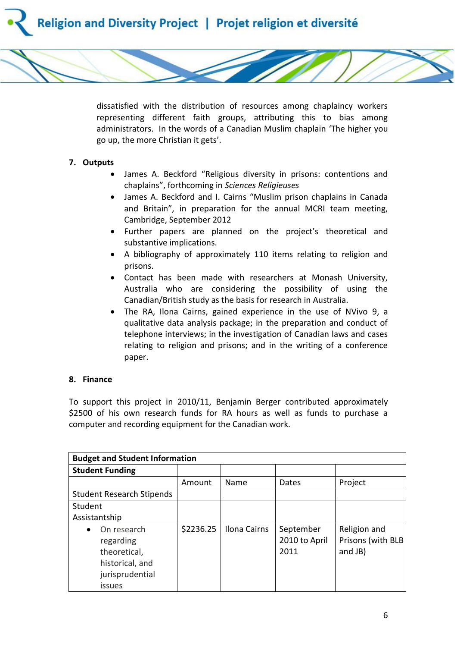

dissatisfied with the distribution of resources among chaplaincy workers representing different faith groups, attributing this to bias among administrators. In the words of a Canadian Muslim chaplain 'The higher you go up, the more Christian it gets'.

# **7. Outputs**

- James A. Beckford "Religious diversity in prisons: contentions and chaplains", forthcoming in *Sciences Religieuses*
- James A. Beckford and I. Cairns "Muslim prison chaplains in Canada and Britain", in preparation for the annual MCRI team meeting, Cambridge, September 2012
- Further papers are planned on the project's theoretical and substantive implications.
- A bibliography of approximately 110 items relating to religion and prisons.
- Contact has been made with researchers at Monash University, Australia who are considering the possibility of using the Canadian/British study as the basis for research in Australia.
- The RA, Ilona Cairns, gained experience in the use of NVivo 9, a qualitative data analysis package; in the preparation and conduct of telephone interviews; in the investigation of Canadian laws and cases relating to religion and prisons; and in the writing of a conference paper.

# **8. Finance**

To support this project in 2010/11, Benjamin Berger contributed approximately \$2500 of his own research funds for RA hours as well as funds to purchase a computer and recording equipment for the Canadian work.

| <b>Budget and Student Information</b> |           |              |               |                   |  |  |
|---------------------------------------|-----------|--------------|---------------|-------------------|--|--|
| <b>Student Funding</b>                |           |              |               |                   |  |  |
|                                       | Amount    | Name         | Dates         | Project           |  |  |
| <b>Student Research Stipends</b>      |           |              |               |                   |  |  |
| Student                               |           |              |               |                   |  |  |
| Assistantship                         |           |              |               |                   |  |  |
| On research                           | \$2236.25 | Ilona Cairns | September     | Religion and      |  |  |
| regarding                             |           |              | 2010 to April | Prisons (with BLB |  |  |
| theoretical,                          |           |              | 2011          | and JB)           |  |  |
| historical, and                       |           |              |               |                   |  |  |
| jurisprudential                       |           |              |               |                   |  |  |
| issues                                |           |              |               |                   |  |  |